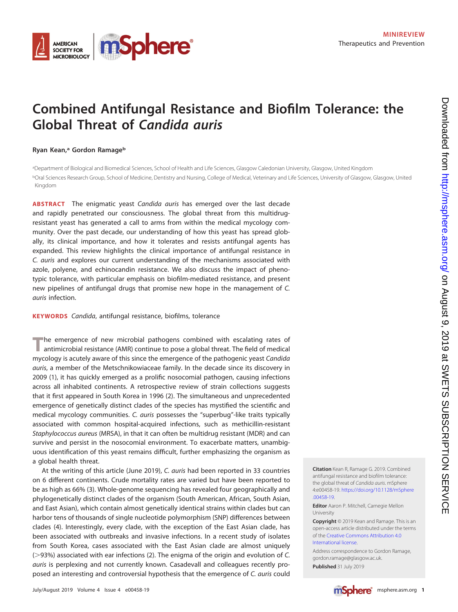

# **Combined Antifungal Resistance and Biofilm Tolerance: the Global Threat of Candida auris**

#### **Ryan Kean,a Gordon Ramageb**

a Department of Biological and Biomedical Sciences, School of Health and Life Sciences, Glasgow Caledonian University, Glasgow, United Kingdom <sup>b</sup>Oral Sciences Research Group, School of Medicine, Dentistry and Nursing, College of Medical, Veterinary and Life Sciences, University of Glasgow, Glasgow, United Kingdom

**ABSTRACT** The enigmatic yeast Candida auris has emerged over the last decade and rapidly penetrated our consciousness. The global threat from this multidrugresistant yeast has generated a call to arms from within the medical mycology community. Over the past decade, our understanding of how this yeast has spread globally, its clinical importance, and how it tolerates and resists antifungal agents has expanded. This review highlights the clinical importance of antifungal resistance in C. auris and explores our current understanding of the mechanisms associated with azole, polyene, and echinocandin resistance. We also discuss the impact of phenotypic tolerance, with particular emphasis on biofilm-mediated resistance, and present new pipelines of antifungal drugs that promise new hope in the management of C. auris infection.

**KEYWORDS** Candida, antifungal resistance, biofilms, tolerance

**T**he emergence of new microbial pathogens combined with escalating rates of antimicrobial resistance (AMR) continue to pose a global threat. The field of medical mycology is acutely aware of this since the emergence of the pathogenic yeast Candida auris, a member of the Metschnikowiaceae family. In the decade since its discovery in 2009 [\(1\)](#page-7-0), it has quickly emerged as a prolific nosocomial pathogen, causing infections across all inhabited continents. A retrospective review of strain collections suggests that it first appeared in South Korea in 1996 [\(2\)](#page-7-1). The simultaneous and unprecedented emergence of genetically distinct clades of the species has mystified the scientific and medical mycology communities. C. auris possesses the "superbug"-like traits typically associated with common hospital-acquired infections, such as methicillin-resistant Staphylococcus aureus (MRSA), in that it can often be multidrug resistant (MDR) and can survive and persist in the nosocomial environment. To exacerbate matters, unambiguous identification of this yeast remains difficult, further emphasizing the organism as a global health threat.

At the writing of this article (June 2019), C. auris had been reported in 33 countries on 6 different continents. Crude mortality rates are varied but have been reported to be as high as 66% [\(3\)](#page-7-2). Whole-genome sequencing has revealed four geographically and phylogenetically distinct clades of the organism (South American, African, South Asian, and East Asian), which contain almost genetically identical strains within clades but can harbor tens of thousands of single nucleotide polymorphism (SNP) differences between clades [\(4\)](#page-7-3). Interestingly, every clade, with the exception of the East Asian clade, has been associated with outbreaks and invasive infections. In a recent study of isolates from South Korea, cases associated with the East Asian clade are almost uniquely (>93%) associated with ear infections [\(2\)](#page-7-1). The enigma of the origin and evolution of C. auris is perplexing and not currently known. Casadevall and colleagues recently proposed an interesting and controversial hypothesis that the emergence of C. auris could **Citation** Kean R, Ramage G. 2019. Combined antifungal resistance and biofilm tolerance: the global threat of Candida auris. mSphere 4:e00458-19. [https://doi.org/10.1128/mSphere](https://doi.org/10.1128/mSphere.00458-19) [.00458-19.](https://doi.org/10.1128/mSphere.00458-19)

**Editor** Aaron P. Mitchell, Carnegie Mellon University

**Copyright** © 2019 Kean and Ramage. This is an open-access article distributed under the terms of the [Creative Commons Attribution 4.0](https://creativecommons.org/licenses/by/4.0/) [International](https://creativecommons.org/licenses/by/4.0/) license.

Address correspondence to Gordon Ramage, [gordon.ramage@glasgow.ac.uk.](mailto:gordon.ramage@glasgow.ac.uk)

**Published** 31 July 2019

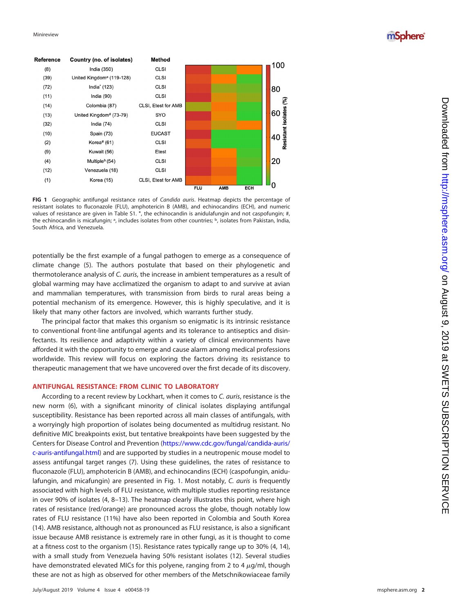mSphere®



<span id="page-1-0"></span>**FIG 1** Geographic antifungal resistance rates of Candida auris. Heatmap depicts the percentage of resistant isolates to fluconazole (FLU), amphotericin B (AMB), and echinocandins (ECH), and numeric values of resistance are given in Table S1. \*, the echinocandin is anidulafungin and not caspofungin; #, the echinocandin is micafungin; <sup>a</sup>, includes isolates from other countries; <sup>b</sup>, isolates from Pakistan, India, South Africa, and Venezuela.

potentially be the first example of a fungal pathogen to emerge as a consequence of climate change ( [5\)](#page-7-4). The authors postulate that based on their phylogenetic and thermotolerance analysis of C. auris, the increase in ambient temperatures as a result of global warming may have acclimatized the organism to adapt to and survive at avian and mammalian temperatures, with transmission from birds to rural areas being a potential mechanism of its emergence. However, this is highly speculative, and it is likely that many other factors are involved, which warrants further study.

The principal factor that makes this organism so enigmatic is its intrinsic resistance to conventional front-line antifungal agents and its tolerance to antiseptics and disinfectants. Its resilience and adaptivity within a variety of clinical environments have afforded it with the opportunity to emerge and cause alarm among medical professions worldwide. This review will focus on exploring the factors driving its resistance to therapeutic management that we have uncovered over the first decade of its discovery.

#### **ANTIFUNGAL RESISTANCE: FROM CLINIC TO LABORATORY**

According to a recent review by Lockhart, when it comes to C. auris, resistance is the new norm ( [6\)](#page-7-5), with a significant minority of clinical isolates displaying antifungal susceptibility. Resistance has been reported across all main classes of antifungals, with a worryingly high proportion of isolates being documented as multidrug resistant. No definitive MIC breakpoints exist, but tentative breakpoints have been suggested by the Centers for Disease Control and Prevention [\(https://www.cdc.gov/fungal/candida-auris/](https://www.cdc.gov/fungal/candida-auris/c-auris-antifungal.html) [c-auris-antifungal.html\)](https://www.cdc.gov/fungal/candida-auris/c-auris-antifungal.html) and are supported by studies in a neutropenic mouse model to assess antifungal target ranges ( [7\)](#page-7-6). Using these guidelines, the rates of resistance to fluconazole (FLU), amphotericin B (AMB), and echinocandins (ECH) (caspofungin, anidu-lafungin, and micafungin) are presented in [Fig. 1.](#page-1-0) Most notably, C. auris is frequently associated with high levels of FLU resistance, with multiple studies reporting resistance in over 90% of isolates ([4](#page-7-3), [8](#page-7-7)-[13\)](#page-8-1). The heatmap clearly illustrates this point, where high rates of resistance (red/orange) are pronounced across the globe, though notably low rates of FLU resistance (11%) have also been reported in Colombia and South Korea [\(14\)](#page-8-2). AMB resistance, although not as pronounced as FLU resistance, is also a significant issue because AMB resistance is extremely rare in other fungi, as it is thought to come at a fitness cost to the organism [\(15\)](#page-8-3). Resistance rates typically range up to 30% ( [4](#page-7-3) , [14\)](#page-8-2), with a small study from Venezuela having 50% resistant isolates [\(12\)](#page-8-0). Several studies have demonstrated elevated MICs for this polyene, ranging from 2 to 4  $\mu$ g/ml, though these are not as high as observed for other members of the Metschnikowiaceae family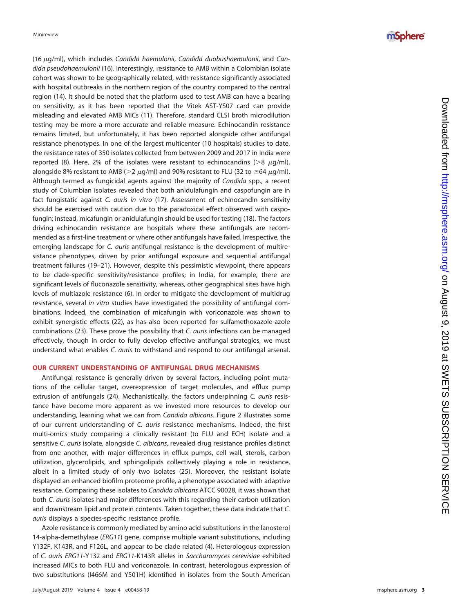(16 -g/ml), which includes Candida haemulonii , Candida duobushaemulonii, and Candida pseudohaemulonii [\(16\)](#page-8-4). Interestingly, resistance to AMB within a Colombian isolate cohort was shown to be geographically related, with resistance significantly associated with hospital outbreaks in the northern region of the country compared to the central region [\(14\)](#page-8-2). It should be noted that the platform used to test AMB can have a bearing on sensitivity, as it has been reported that the Vitek AST-YS07 card can provide misleading and elevated AMB MICs [\(11\)](#page-8-5). Therefore, standard CLSI broth microdilution testing may be more a more accurate and reliable measure. Echinocandin resistance remains limited, but unfortunately, it has been reported alongside other antifungal resistance phenotypes. In one of the largest multicenter (10 hospitals) studies to date, the resistance rates of 350 isolates collected from between 2009 and 2017 in India were reported ([8\)](#page-7-7). Here, 2% of the isolates were resistant to echinocandins (>8  $\mu$ g/ml), alongside 8% resistant to AMB (>2  $\mu$ g/ml) and 90% resistant to FLU (32 to ≥64  $\mu$ g/ml). Although termed as fungicidal agents against the majority of Candida spp., a recent study of Columbian isolates revealed that both anidulafungin and caspofungin are in fact fungistatic against C. auris in vitro [\(17\)](#page-8-6). Assessment of echinocandin sensitivity should be exercised with caution due to the paradoxical effect observed with caspofungin; instead, micafungin or anidulafungin should be used for testing [\(18\)](#page-8-7). The factors driving echinocandin resistance are hospitals where these antifungals are recommended as a first-line treatment or where other antifungals have failed. Irrespective, the emerging landscape for C. *auris* antifungal resistance is the development of multiresistance phenotypes, driven by prior antifungal exposure and sequential antifungal treatment failures [\(19](#page-8-8)[–](#page-8-9)[21\)](#page-8-10). However, despite this pessimistic viewpoint, there appears to be clade-specific sensitivity/resistance profiles; in India, for example, there are significant levels of fluconazole sensitivity, whereas, other geographical sites have high levels of multiazole resistance ( [6\)](#page-7-5). In order to mitigate the development of multidrug resistance, several in vitro studies have investigated the possibility of antifungal combinations. Indeed, the combination of micafungin with voriconazole was shown to exhibit synergistic effects [\(22\)](#page-8-11), as has also been reported for sulfamethoxazole-azole combinations [\(23\)](#page-8-12). These prove the possibility that C. auris infections can be managed effectively, though in order to fully develop effective antifungal strategies, we must understand what enables C. auris to withstand and respond to our antifungal arsenal.

#### **OUR CURRENT UNDERSTANDING OF ANTIFUNGAL DRUG MECHANISMS**

Antifungal resistance is generally driven by several factors, including point mutations of the cellular target, overexpression of target molecules, and efflux pump extrusion of antifungals [\(24\)](#page-8-13). Mechanistically, the factors underpinning C. auris resistance have become more apparent as we invested more resources to develop our understanding, learning what we can from Candida albicans. [Figure 2](#page-3-0) illustrates some of our current understanding of C. auris resistance mechanisms. Indeed, the first multi-omics study comparing a clinically resistant (to FLU and ECH) isolate and a sensitive C. auris isolate, alongside C. albicans, revealed drug resistance profiles distinct from one another, with major differences in efflux pumps, cell wall, sterols, carbon utilization, glycerolipids, and sphingolipids collectively playing a role in resistance, albeit in a limited study of only two isolates [\(25\)](#page-8-14). Moreover, the resistant isolate displayed an enhanced biofilm proteome profile, a phenotype associated with adaptive resistance. Comparing these isolates to Candida albicans ATCC 90028, it was shown that both C. auris isolates had major differences with this regarding their carbon utilization and downstream lipid and protein contents. Taken together, these data indicate that C. auris displays a species-specific resistance profile.

Azole resistance is commonly mediated by amino acid substitutions in the lanosterol 14-alpha-demethylase (ERG11) gene, comprise multiple variant substitutions, including Y132F, K143R, and F126L, and appear to be clade related ( [4\)](#page-7-3). Heterologous expression of C. auris ERG11-Y132 and ERG11-K143R alleles in Saccharomyces cerevisiae exhibited increased MICs to both FLU and voriconazole. In contrast, heterologous expression of two substitutions (I466M and Y501H) identified in isolates from the South American

### *mSphere*<sup>®</sup>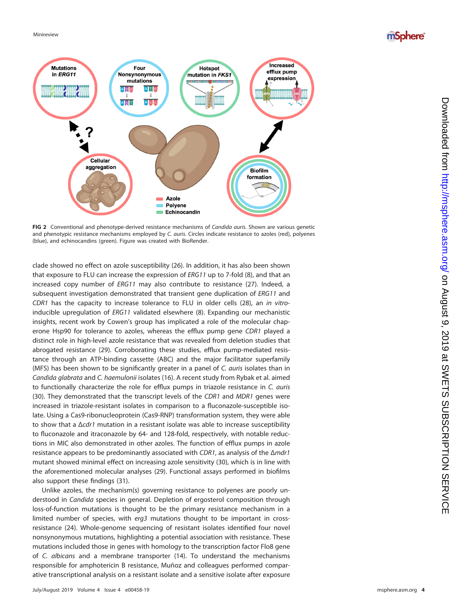## mSphere®



<span id="page-3-0"></span>FIG 2 Conventional and phenotype-derived resistance mechanisms of Candida auris. Shown are various genetic and phenotypic resistance mechanisms employed by C. auris. Circles indicate resistance to azoles (red), polyenes (blue), and echinocandins (green). Figure was created with BioRender.

clade showed no effect on azole susceptibility [\(26\)](#page-8-15). In addition, it has also been shown that exposure to FLU can increase the expression of ERG11 up to 7-fold [\(8\)](#page-7-7), and that an increased copy number of ERG11 may also contribute to resistance [\(27\)](#page-8-16). Indeed, a subsequent investigation demonstrated that transient gene duplication of ERG11 and CDR1 has the capacity to increase tolerance to FLU in older cells [\(28\)](#page-8-17), an in vitroinducible upregulation of ERG11 validated elsewhere [\(8\)](#page-7-7). Expanding our mechanistic insights, recent work by Cowen's group has implicated a role of the molecular chaperone Hsp90 for tolerance to azoles, whereas the efflux pump gene CDR1 played a distinct role in high-level azole resistance that was revealed from deletion studies that abrogated resistance [\(29\)](#page-8-18). Corroborating these studies, efflux pump-mediated resistance through an ATP-binding cassette (ABC) and the major facilitator superfamily (MFS) has been shown to be significantly greater in a panel of C. auris isolates than in Candida glabrata and C. haemulonii isolates [\(16\)](#page-8-4). A recent study from Rybak et al. aimed to functionally characterize the role for efflux pumps in triazole resistance in C. auris [\(30\)](#page-8-19). They demonstrated that the transcript levels of the CDR1 and MDR1 genes were increased in triazole-resistant isolates in comparison to a fluconazole-susceptible isolate. Using a Cas9-ribonucleoprotein (Cas9-RNP) transformation system, they were able to show that a  $\Delta cdr$ 1 mutation in a resistant isolate was able to increase susceptibility to fluconazole and itraconazole by 64- and 128-fold, respectively, with notable reductions in MIC also demonstrated in other azoles. The function of efflux pumps in azole resistance appears to be predominantly associated with CDR1, as analysis of the Δmdr1 mutant showed minimal effect on increasing azole sensitivity [\(30\)](#page-8-19), which is in line with the aforementioned molecular analyses [\(29\)](#page-8-18). Functional assays performed in biofilms also support these findings [\(31\)](#page-8-20).

Unlike azoles, the mechanism(s) governing resistance to polyenes are poorly understood in Candida species in general. Depletion of ergosterol composition through loss-of-function mutations is thought to be the primary resistance mechanism in a limited number of species, with erg3 mutations thought to be important in crossresistance [\(24\)](#page-8-13). Whole-genome sequencing of resistant isolates identified four novel nonsynonymous mutations, highlighting a potential association with resistance. These mutations included those in genes with homology to the transcription factor Flo8 gene of C. albicans and a membrane transporter [\(14\)](#page-8-2). To understand the mechanisms responsible for amphotericin B resistance, Muñoz and colleagues performed comparative transcriptional analysis on a resistant isolate and a sensitive isolate after exposure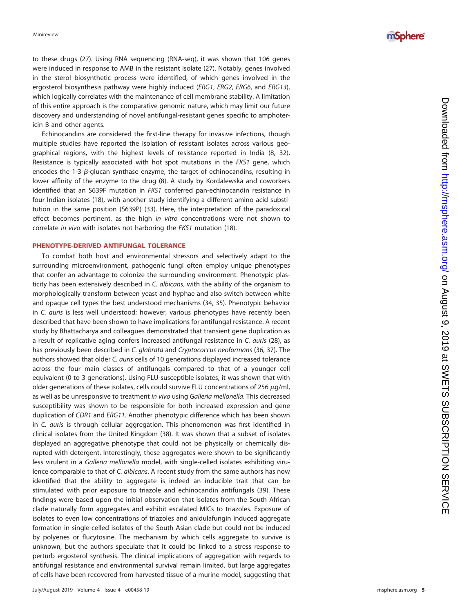to these drugs [\(27\)](#page-8-16). Using RNA sequencing (RNA-seq), it was shown that 106 genes were induced in response to AMB in the resistant isolate [\(27\)](#page-8-16). Notably, genes involved in the sterol biosynthetic process were identified, of which genes involved in the ergosterol biosynthesis pathway were highly induced (ERG1, ERG2, ERG6, and ERG13), which logically correlates with the maintenance of cell membrane stability. A limitation of this entire approach is the comparative genomic nature, which may limit our future discovery and understanding of novel antifungal-resistant genes specific to amphotericin B and other agents.

Echinocandins are considered the first-line therapy for invasive infections, though multiple studies have reported the isolation of resistant isolates across various geographical regions, with the highest levels of resistance reported in India [\(8,](#page-7-7) [32\)](#page-8-21). Resistance is typically associated with hot spot mutations in the FKS1 gene, which encodes the  $1-3-\beta$ -glucan synthase enzyme, the target of echinocandins, resulting in lower affinity of the enzyme to the drug ( [8\)](#page-7-7). A study by Kordalewska and coworkers identified that an S639F mutation in FKS1 conferred pan-echinocandin resistance in four Indian isolates [\(18\)](#page-8-7), with another study identifying a different amino acid substitution in the same position (S639P) [\(33\)](#page-8-22). Here, the interpretation of the paradoxical effect becomes pertinent, as the high *in vitro* concentrations were not shown to correlate in vivo with isolates not harboring the FKS1 mutation [\(18\)](#page-8-7).

#### **PHENOTYPE-DERIVED ANTIFUNGAL TOLERANCE**

To combat both host and environmental stressors and selectively adapt to the surrounding microenvironment, pathogenic fungi often employ unique phenotypes that confer an advantage to colonize the surrounding environment. Phenotypic plasticity has been extensively described in C. albicans, with the ability of the organism to morphologically transform between yeast and hyphae and also switch between white and opaque cell types the best understood mechanisms [\(34](#page-8-23) , [35\)](#page-8-24). Phenotypic behavior in C. auris is less well understood; however, various phenotypes have recently been described that have been shown to have implications for antifungal resistance. A recent study by Bhattacharya and colleagues demonstrated that transient gene duplication as a result of replicative aging confers increased antifungal resistance in C. auris [\(28\)](#page-8-17), as has previously been described in C. glabrata and Cryptococcus neoformans [\(36](#page-8-25), [37\)](#page-8-26). The authors showed that older C. auris cells of 10 generations displayed increased tolerance across the four main classes of antifungals compared to that of a younger cell equivalent (0 to 3 generations). Using FLU-susceptible isolates, it was shown that with older generations of these isolates, cells could survive FLU concentrations of 256  $\mu$ g/ml, as well as be unresponsive to treatment in vivo using Galleria mellonella. This decreased susceptibility was shown to be responsible for both increased expression and gene duplication of CDR1 and ERG11. Another phenotypic difference which has been shown in C. auris is through cellular aggregation. This phenomenon was first identified in clinical isolates from the United Kingdom [\(38\)](#page-8-27). It was shown that a subset of isolates displayed an aggregative phenotype that could not be physically or chemically disrupted with detergent. Interestingly, these aggregates were shown to be significantly less virulent in a Galleria mellonella model, with single-celled isolates exhibiting virulence comparable to that of C. albicans. A recent study from the same authors has now identified that the ability to aggregate is indeed an inducible trait that can be stimulated with prior exposure to triazole and echinocandin antifungals [\(39\)](#page-8-28). These findings were based upon the initial observation that isolates from the South African clade naturally form aggregates and exhibit escalated MICs to triazoles. Exposure of isolates to even low concentrations of triazoles and anidulafungin induced aggregate formation in single-celled isolates of the South Asian clade but could not be induced by polyenes or flucytosine. The mechanism by which cells aggregate to survive is unknown, but the authors speculate that it could be linked to a stress response to perturb ergosterol synthesis. The clinical implications of aggregation with regards to antifungal resistance and environmental survival remain limited, but large aggregates of cells have been recovered from harvested tissue of a murine model, suggesting that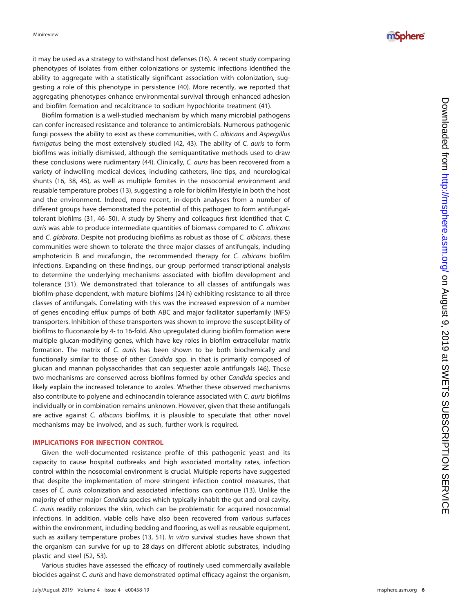*mSphere*<sup>®</sup>

it may be used as a strategy to withstand host defenses [\(16\)](#page-8-4). A recent study comparing phenotypes of isolates from either colonizations or systemic infections identified the ability to aggregate with a statistically significant association with colonization, suggesting a role of this phenotype in persistence [\(40\)](#page-8-29). More recently, we reported that aggregating phenotypes enhance environmental survival through enhanced adhesion and biofilm formation and recalcitrance to sodium hypochlorite treatment [\(41\)](#page-8-30).

Biofilm formation is a well-studied mechanism by which many microbial pathogens can confer increased resistance and tolerance to antimicrobials. Numerous pathogenic fungi possess the ability to exist as these communities, with C. albicans and Aspergillus fumigatus being the most extensively studied [\(42](#page-8-31), [43\)](#page-8-32). The ability of C. auris to form biofilms was initially dismissed, although the semiquantitative methods used to draw these conclusions were rudimentary [\(44\)](#page-8-33). Clinically, C. auris has been recovered from a variety of indwelling medical devices, including catheters, line tips, and neurological shunts [\(16](#page-8-4) , [38](#page-8-27) , [45\)](#page-9-0), as well as multiple fomites in the nosocomial environment and reusable temperature probes [\(13\)](#page-8-1), suggesting a role for biofilm lifestyle in both the host and the environment. Indeed, more recent, in-depth analyses from a number of different groups have demonstrated the potential of this pathogen to form antifungaltolerant biofilms [\(31,](#page-8-20) [46](#page-9-1)[–](#page-9-2)[50\)](#page-9-3). A study by Sherry and colleagues first identified that C. auris was able to produce intermediate quantities of biomass compared to C. albicans and C. glabrata. Despite not producing biofilms as robust as those of C. albicans, these communities were shown to tolerate the three major classes of antifungals, including amphotericin B and micafungin, the recommended therapy for C. albicans biofilm infections. Expanding on these findings, our group performed transcriptional analysis to determine the underlying mechanisms associated with biofilm development and tolerance [\(31\)](#page-8-20). We demonstrated that tolerance to all classes of antifungals was biofilm-phase dependent, with mature biofilms (24 h) exhibiting resistance to all three classes of antifungals. Correlating with this was the increased expression of a number of genes encoding efflux pumps of both ABC and major facilitator superfamily (MFS) transporters. Inhibition of these transporters was shown to improve the susceptibility of biofilms to fluconazole by 4- to 16-fold. Also upregulated during biofilm formation were multiple glucan-modifying genes, which have key roles in biofilm extracellular matrix formation. The matrix of C. auris has been shown to be both biochemically and functionally similar to those of other Candida spp. in that is primarily composed of glucan and mannan polysaccharides that can sequester azole antifungals [\(46\)](#page-9-1). These two mechanisms are conserved across biofilms formed by other Candida species and likely explain the increased tolerance to azoles. Whether these observed mechanisms also contribute to polyene and echinocandin tolerance associated with C. auris biofilms individually or in combination remains unknown. However, given that these antifungals are active against C. albicans biofilms, it is plausible to speculate that other novel mechanisms may be involved, and as such, further work is required.

#### **IMPLICATIONS FOR INFECTION CONTROL**

Given the well-documented resistance profile of this pathogenic yeast and its capacity to cause hospital outbreaks and high associated mortality rates, infection control within the nosocomial environment is crucial. Multiple reports have suggested that despite the implementation of more stringent infection control measures, that cases of C. auris colonization and associated infections can continue [\(13\)](#page-8-1). Unlike the majority of other major Candida species which typically inhabit the gut and oral cavity, C. auris readily colonizes the skin, which can be problematic for acquired nosocomial infections. In addition, viable cells have also been recovered from various surfaces within the environment, including bedding and flooring, as well as reusable equipment, such as axillary temperature probes [\(13](#page-8-1), [51\)](#page-9-4). In vitro survival studies have shown that the organism can survive for up to 28 days on different abiotic substrates, including plastic and steel [\(52](#page-9-5) , [53\)](#page-9-6).

Various studies have assessed the efficacy of routinely used commercially available biocides against C. auris and have demonstrated optimal efficacy against the organism,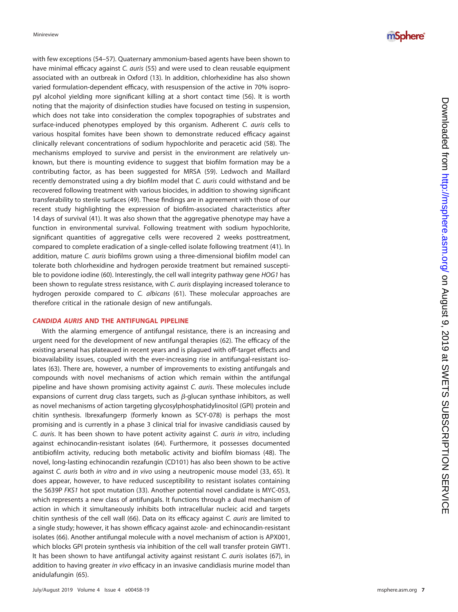with few exceptions [\(54](#page-9-7)[–](#page-9-8)[57\)](#page-9-9). Quaternary ammonium-based agents have been shown to have minimal efficacy against C. auris [\(55\)](#page-9-10) and were used to clean reusable equipment associated with an outbreak in Oxford [\(13\)](#page-8-1). In addition, chlorhexidine has also shown varied formulation-dependent efficacy, with resuspension of the active in 70% isopropyl alcohol yielding more significant killing at a short contact time [\(56\)](#page-9-8). It is worth noting that the majority of disinfection studies have focused on testing in suspension, which does not take into consideration the complex topographies of substrates and surface-induced phenotypes employed by this organism. Adherent C. auris cells to various hospital fomites have been shown to demonstrate reduced efficacy against clinically relevant concentrations of sodium hypochlorite and peracetic acid [\(58\)](#page-9-11). The mechanisms employed to survive and persist in the environment are relatively unknown, but there is mounting evidence to suggest that biofilm formation may be a contributing factor, as has been suggested for MRSA [\(59\)](#page-9-12). Ledwoch and Maillard recently demonstrated using a dry biofilm model that C. auris could withstand and be recovered following treatment with various biocides, in addition to showing significant transferability to sterile surfaces [\(49\)](#page-9-2). These findings are in agreement with those of our recent study highlighting the expression of biofilm-associated characteristics after 14 days of survival [\(41\)](#page-8-30). It was also shown that the aggregative phenotype may have a function in environmental survival. Following treatment with sodium hypochlorite, significant quantities of aggregative cells were recovered 2 weeks posttreatment, compared to complete eradication of a single-celled isolate following treatment [\(41\)](#page-8-30). In addition, mature C. auris biofilms grown using a three-dimensional biofilm model can tolerate both chlorhexidine and hydrogen peroxide treatment but remained susceptible to povidone iodine [\(60\)](#page-9-13). Interestingly, the cell wall integrity pathway gene HOG1 has been shown to regulate stress resistance, with C. auris displaying increased tolerance to hydrogen peroxide compared to C. albicans [\(61\)](#page-9-14). These molecular approaches are therefore critical in the rationale design of new antifungals.

#### *CANDIDA AURIS* **AND THE ANTIFUNGAL PIPELINE**

With the alarming emergence of antifungal resistance, there is an increasing and urgent need for the development of new antifungal therapies [\(62\)](#page-9-15). The efficacy of the existing arsenal has plateaued in recent years and is plagued with off-target effects and bioavailability issues, coupled with the ever-increasing rise in antifungal-resistant isolates [\(63\)](#page-9-16). There are, however, a number of improvements to existing antifungals and compounds with novel mechanisms of action which remain within the antifungal pipeline and have shown promising activity against C. auris. These molecules include expansions of current drug class targets, such as  $\beta$ -glucan synthase inhibitors, as well as novel mechanisms of action targeting glycosylphosphatidylinositol (GPI) protein and chitin synthesis. Ibrexafungerp (formerly known as SCY-078) is perhaps the most promising and is currently in a phase 3 clinical trial for invasive candidiasis caused by C. auris. It has been shown to have potent activity against C. auris in vitro, including against echinocandin-resistant isolates [\(64\)](#page-9-17). Furthermore, it possesses documented antibiofilm activity, reducing both metabolic activity and biofilm biomass [\(48\)](#page-9-18). The novel, long-lasting echinocandin rezafungin (CD101) has also been shown to be active against C. auris both in vitro and in vivo using a neutropenic mouse model [\(33](#page-8-22), [65\)](#page-9-19). It does appear, however, to have reduced susceptibility to resistant isolates containing the S639P FKS1 hot spot mutation [\(33\)](#page-8-22). Another potential novel candidate is MYC-053, which represents a new class of antifungals. It functions through a dual mechanism of action in which it simultaneously inhibits both intracellular nucleic acid and targets chitin synthesis of the cell wall [\(66\)](#page-9-20). Data on its efficacy against C. auris are limited to a single study; however, it has shown efficacy against azole- and echinocandin-resistant isolates [\(66\)](#page-9-20). Another antifungal molecule with a novel mechanism of action is APX001, which blocks GPI protein synthesis via inhibition of the cell wall transfer protein GWT1. It has been shown to have antifungal activity against resistant C. auris isolates [\(67\)](#page-9-21), in addition to having greater in vivo efficacy in an invasive candidiasis murine model than anidulafungin [\(65\)](#page-9-19).

## *mSphere*<sup>®</sup>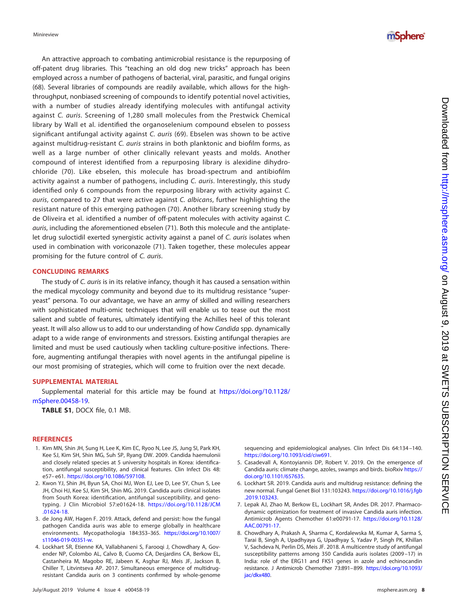An attractive approach to combating antimicrobial resistance is the repurposing of off-patent drug libraries. This "teaching an old dog new tricks" approach has been employed across a number of pathogens of bacterial, viral, parasitic, and fungal origins [\(68\)](#page-9-22). Several libraries of compounds are readily available, which allows for the highthroughput, nonbiased screening of compounds to identify potential novel activities, with a number of studies already identifying molecules with antifungal activity against C. auris. Screening of 1,280 small molecules from the Prestwick Chemical library by Wall et al. identified the organoselenium compound ebselen to possess significant antifungal activity against C. auris [\(69\)](#page-9-23). Ebselen was shown to be active against multidrug-resistant C. auris strains in both planktonic and biofilm forms, as well as a large number of other clinically relevant yeasts and molds. Another compound of interest identified from a repurposing library is alexidine dihydrochloride [\(70\)](#page-9-24). Like ebselen, this molecule has broad-spectrum and antibiofilm activity against a number of pathogens, including C. auris. Interestingly, this study identified only 6 compounds from the repurposing library with activity against C. auris, compared to 27 that were active against C. albicans, further highlighting the resistant nature of this emerging pathogen [\(70\)](#page-9-24). Another library screening study by de Oliveira et al. identified a number of off-patent molecules with activity against C. auris, including the aforementioned ebselen [\(71\)](#page-9-25). Both this molecule and the antiplatelet drug suloctidil exerted synergistic activity against a panel of C. auris isolates when used in combination with voriconazole [\(71\)](#page-9-25). Taken together, these molecules appear promising for the future control of C. auris.

#### **CONCLUDING REMARKS**

The study of C. auris is in its relative infancy, though it has caused a sensation within the medical mycology community and beyond due to its multidrug resistance "superyeast" persona. To our advantage, we have an army of skilled and willing researchers with sophisticated multi-omic techniques that will enable us to tease out the most salient and subtle of features, ultimately identifying the Achilles heel of this tolerant yeast. It will also allow us to add to our understanding of how Candida spp. dynamically adapt to a wide range of environments and stressors. Existing antifungal therapies are limited and must be used cautiously when tackling culture-positive infections. Therefore, augmenting antifungal therapies with novel agents in the antifungal pipeline is our most promising of strategies, which will come to fruition over the next decade.

#### **SUPPLEMENTAL MATERIAL**

Supplemental material for this article may be found at [https://doi.org/10.1128/](https://doi.org/10.1128/mSphere.00458-19) [mSphere.00458-19.](https://doi.org/10.1128/mSphere.00458-19)

**TABLE S1**, DOCX file, 0.1 MB.

#### <span id="page-7-0"></span>**REFERENCES**

- 1. Kim MN, Shin JH, Sung H, Lee K, Kim EC, Ryoo N, Lee JS, Jung SI, Park KH, Kee SJ, Kim SH, Shin MG, Suh SP, Ryang DW. 2009. Candida haemulonii and closely related species at 5 university hospitals in Korea: identification, antifungal susceptibility, and clinical features. Clin Infect Dis 48: e57– e61. [https://doi.org/10.1086/597108.](https://doi.org/10.1086/597108)
- <span id="page-7-1"></span>2. Kwon YJ, Shin JH, Byun SA, Choi MJ, Won EJ, Lee D, Lee SY, Chun S, Lee JH, Choi HJ, Kee SJ, Kim SH, Shin MG. 2019. Candida auris clinical isolates from South Korea: identification, antifungal susceptibility, and genotyping. J Clin Microbiol 57:e01624-18. [https://doi.org/10.1128/JCM](https://doi.org/10.1128/JCM.01624-18) [.01624-18.](https://doi.org/10.1128/JCM.01624-18)
- <span id="page-7-2"></span>3. de Jong AW, Hagen F. 2019. Attack, defend and persist: how the fungal pathogen Candida auris was able to emerge globally in healthcare environments. Mycopathologia 184:353–365. [https://doi.org/10.1007/](https://doi.org/10.1007/s11046-019-00351-w) [s11046-019-00351-w.](https://doi.org/10.1007/s11046-019-00351-w)
- <span id="page-7-3"></span>4. Lockhart SR, Etienne KA, Vallabhaneni S, Farooqi J, Chowdhary A, Govender NP, Colombo AL, Calvo B, Cuomo CA, Desjardins CA, Berkow EL, Castanheira M, Magobo RE, Jabeen K, Asghar RJ, Meis JF, Jackson B, Chiller T, Litvintseva AP. 2017. Simultaneous emergence of multidrugresistant Candida auris on 3 continents confirmed by whole-genome

sequencing and epidemiological analyses. Clin Infect Dis 64:134 –140. [https://doi.org/10.1093/cid/ciw691.](https://doi.org/10.1093/cid/ciw691)

- <span id="page-7-5"></span><span id="page-7-4"></span>5. Casadevall A, Kontoyiannis DP, Robert V. 2019. On the emergence of Candida auris: climate change, azoles, swamps and birds. bioRxiv [https://](https://doi.org/10.1101/657635) [doi.org/10.1101/657635.](https://doi.org/10.1101/657635)
- <span id="page-7-6"></span>6. Lockhart SR. 2019. Candida auris and multidrug resistance: defining the new normal. Fungal Genet Biol 131:103243. [https://doi.org/10.1016/j.fgb](https://doi.org/10.1016/j.fgb.2019.103243) [.2019.103243.](https://doi.org/10.1016/j.fgb.2019.103243)
- 7. Lepak AJ, Zhao M, Berkow EL, Lockhart SR, Andes DR. 2017. Pharmacodynamic optimization for treatment of invasive Candida auris infection. Antimicrob Agents Chemother 61:e00791-17. [https://doi.org/10.1128/](https://doi.org/10.1128/AAC.00791-17) [AAC.00791-17.](https://doi.org/10.1128/AAC.00791-17)
- <span id="page-7-7"></span>8. Chowdhary A, Prakash A, Sharma C, Kordalewska M, Kumar A, Sarma S, Tarai B, Singh A, Upadhyaya G, Upadhyay S, Yadav P, Singh PK, Khillan V, Sachdeva N, Perlin DS, Meis JF. 2018. A multicentre study of antifungal susceptibility patterns among 350 Candida auris isolates (2009 –17) in India: role of the ERG11 and FKS1 genes in azole and echinocandin resistance. J Antimicrob Chemother 73:891–899. [https://doi.org/10.1093/](https://doi.org/10.1093/jac/dkx480) [jac/dkx480.](https://doi.org/10.1093/jac/dkx480)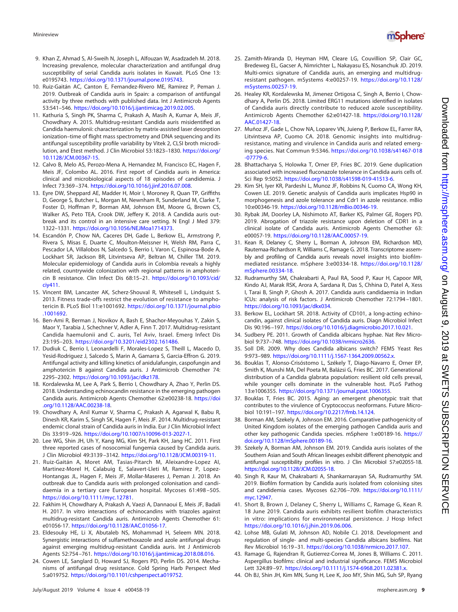Downloaded from <http://msphere.asm.org/> on August 9, 2019 at SWETS SUBSCRIPTION SERVICE

Downloaded from http://msphere.asm.org/ on August 9, 2019 at SWETS SUBSCRIPTION SERVICE

- 9. Khan Z, Ahmad S, Al-Sweih N, Joseph L, Alfouzan W, Asadzadeh M. 2018. Increasing prevalence, molecular characterization and antifungal drug susceptibility of serial Candida auris isolates in Kuwait. PLoS One 13: e0195743. [https://doi.org/10.1371/journal.pone.0195743.](https://doi.org/10.1371/journal.pone.0195743)
- 10. Ruiz-Gaitán AC, Canton E, Fernandez-Rivero ME, Ramirez P, Peman J. 2019. Outbreak of Candida auris in Spain: a comparison of antifungal activity by three methods with published data. Int J Antimicrob Agents 53:541–546. [https://doi.org/10.1016/j.ijantimicag.2019.02.005.](https://doi.org/10.1016/j.ijantimicag.2019.02.005)
- <span id="page-8-5"></span>11. Kathuria S, Singh PK, Sharma C, Prakash A, Masih A, Kumar A, Meis JF, Chowdhary A. 2015. Multidrug-resistant Candida auris misidentified as Candida haemulonii: characterization by matrix-assisted laser desorption ionization–time of flight mass spectrometry and DNA sequencing and its antifungal susceptibility profile variability by Vitek 2, CLSI broth microdilution, and Etest method. J Clin Microbiol 53:1823–1830. [https://doi.org/](https://doi.org/10.1128/JCM.00367-15) [10.1128/JCM.00367-15.](https://doi.org/10.1128/JCM.00367-15)
- <span id="page-8-0"></span>12. Calvo B, Melo AS, Perozo-Mena A, Hernandez M, Francisco EC, Hagen F, Meis JF, Colombo AL. 2016. First report of Candida auris in America: clinical and microbiological aspects of 18 episodes of candidemia. J Infect 73:369 –374. [https://doi.org/10.1016/j.jinf.2016.07.008.](https://doi.org/10.1016/j.jinf.2016.07.008)
- <span id="page-8-1"></span>13. Eyre DW, Sheppard AE, Madder H, Moir I, Moroney R, Quan TP, Griffiths D, George S, Butcher L, Morgan M, Newnham R, Sunderland M, Clarke T, Foster D, Hoffman P, Borman AM, Johnson EM, Moore G, Brown CS, Walker AS, Peto TEA, Crook DW, Jeffery K. 2018. A Candida auris outbreak and its control in an intensive care setting. N Engl J Med 379: 1322–1331. [https://doi.org/10.1056/NEJMoa1714373.](https://doi.org/10.1056/NEJMoa1714373)
- <span id="page-8-2"></span>14. Escandón P, Chow NA, Caceres DH, Gade L, Berkow EL, Armstrong P, Rivera S, Misas E, Duarte C, Moulton-Meissner H, Welsh RM, Parra C, Pescador LA, Villalobos N, Salcedo S, Berrio I, Varon C, Espinosa-Bode A, Lockhart SR, Jackson BR, Litvintseva AP, Beltran M, Chiller TM. 2019. Molecular epidemiology of Candida auris in Colombia reveals a highly related, countrywide colonization with regional patterns in amphotericin B resistance. Clin Infect Dis 68:15–21. [https://doi.org/10.1093/cid/](https://doi.org/10.1093/cid/ciy411) [ciy411.](https://doi.org/10.1093/cid/ciy411)
- <span id="page-8-3"></span>15. Vincent BM, Lancaster AK, Scherz-Shouval R, Whitesell L, Lindquist S. 2013. Fitness trade-offs restrict the evolution of resistance to amphotericin B. PLoS Biol 11:e1001692. [https://doi.org/10.1371/journal.pbio](https://doi.org/10.1371/journal.pbio.1001692) [.1001692.](https://doi.org/10.1371/journal.pbio.1001692)
- <span id="page-8-4"></span>16. Ben-Ami R, Berman J, Novikov A, Bash E, Shachor-Meyouhas Y, Zakin S, Maor Y, Tarabia J, Schechner V, Adler A, Finn T. 2017. Multidrug-resistant Candida haemulonii and C. auris, Tel Aviv, Israel. Emerg Infect Dis 23:195–203. [https://doi.org/10.3201/eid2302.161486.](https://doi.org/10.3201/eid2302.161486)
- <span id="page-8-6"></span>17. Dudiuk C, Berrio I, Leonardelli F, Morales-Lopez S, Theill L, Macedo D, Yesid-Rodriguez J, Salcedo S, Marin A, Gamarra S, Garcia-Effron G. 2019. Antifungal activity and killing kinetics of anidulafungin, caspofungin and amphotericin B against Candida auris. J Antimicrob Chemother 74: 2295–2302. [https://doi.org/10.1093/jac/dkz178.](https://doi.org/10.1093/jac/dkz178)
- <span id="page-8-7"></span>18. Kordalewska M, Lee A, Park S, Berrio I, Chowdhary A, Zhao Y, Perlin DS. 2018. Understanding echinocandin resistance in the emerging pathogen Candida auris. Antimicrob Agents Chemother 62:e00238-18. [https://doi](https://doi.org/10.1128/AAC.00238-18) [.org/10.1128/AAC.00238-18.](https://doi.org/10.1128/AAC.00238-18)
- <span id="page-8-8"></span>19. Chowdhary A, Anil Kumar V, Sharma C, Prakash A, Agarwal K, Babu R, Dinesh KR, Karim S, Singh SK, Hagen F, Meis JF. 2014. Multidrug-resistant endemic clonal strain of Candida auris in India. Eur J Clin Microbiol Infect Dis 33:919 –926. [https://doi.org/10.1007/s10096-013-2027-1.](https://doi.org/10.1007/s10096-013-2027-1)
- <span id="page-8-10"></span><span id="page-8-9"></span>20. Lee WG, Shin JH, Uh Y, Kang MG, Kim SH, Park KH, Jang HC. 2011. First three reported cases of nosocomial fungemia caused by Candida auris. J Clin Microbiol 49:3139 –3142. [https://doi.org/10.1128/JCM.00319-11.](https://doi.org/10.1128/JCM.00319-11)
- 21. Ruiz-Gaitán A, Moret AM, Tasias-Pitarch M, Aleixandre-Lopez AI, Martinez-Morel H, Calabuig E, Salavert-Lleti M, Ramirez P, Lopez-Hontangas JL, Hagen F, Meis JF, Mollar-Maseres J, Peman J. 2018. An outbreak due to Candida auris with prolonged colonisation and candidaemia in a tertiary care European hospital. Mycoses 61:498 –505. [https://doi.org/10.1111/myc.12781.](https://doi.org/10.1111/myc.12781)
- <span id="page-8-11"></span>22. Fakhim H, Chowdhary A, Prakash A, Vaezi A, Dannaoui E, Meis JF, Badali H. 2017. In vitro interactions of echinocandins with triazoles against multidrug-resistant Candida auris. Antimicrob Agents Chemother 61: e01056-17. [https://doi.org/10.1128/AAC.01056-17.](https://doi.org/10.1128/AAC.01056-17)
- <span id="page-8-12"></span>23. Eldesouky HE, Li X, Abutaleb NS, Mohammad H, Seleem MN. 2018. Synergistic interactions of sulfamethoxazole and azole antifungal drugs against emerging multidrug-resistant Candida auris. Int J Antimicrob Agents 52:754 –761. [https://doi.org/10.1016/j.ijantimicag.2018.08.016.](https://doi.org/10.1016/j.ijantimicag.2018.08.016)
- <span id="page-8-13"></span>24. Cowen LE, Sanglard D, Howard SJ, Rogers PD, Perlin DS. 2014. Mechanisms of antifungal drug resistance. Cold Spring Harb Perspect Med 5:a019752. [https://doi.org/10.1101/cshperspect.a019752.](https://doi.org/10.1101/cshperspect.a019752)
- <span id="page-8-14"></span>25. Zamith-Miranda D, Heyman HM, Cleare LG, Couvillion SP, Clair GC, Bredeweg EL, Gacser A, Nimrichter L, Nakayasu ES, Nosanchuk JD. 2019. Multi-omics signature of Candida auris, an emerging and multidrugresistant pathogen. mSystems 4:e00257-19. [https://doi.org/10.1128/](https://doi.org/10.1128/mSystems.00257-19) [mSystems.00257-19.](https://doi.org/10.1128/mSystems.00257-19)
- <span id="page-8-15"></span>26. Healey KR, Kordalewska M, Jimenez Ortigosa C, Singh A, Berrio I, Chowdhary A, Perlin DS. 2018. Limited ERG11 mutations identified in isolates of Candida auris directly contribute to reduced azole susceptibility. Antimicrob Agents Chemother 62:e01427-18. [https://doi.org/10.1128/](https://doi.org/10.1128/AAC.01427-18) [AAC.01427-18.](https://doi.org/10.1128/AAC.01427-18)
- <span id="page-8-16"></span>27. Muñoz JF, Gade L, Chow NA, Loparev VN, Juieng P, Berkow EL, Farrer RA, Litvintseva AP, Cuomo CA. 2018. Genomic insights into multidrugresistance, mating and virulence in Candida auris and related emerging species. Nat Commun 9:5346. [https://doi.org/10.1038/s41467-018](https://doi.org/10.1038/s41467-018-07779-6) [-07779-6.](https://doi.org/10.1038/s41467-018-07779-6)
- <span id="page-8-17"></span>28. Bhattacharya S, Holowka T, Orner EP, Fries BC. 2019. Gene duplication associated with increased fluconazole tolerance in Candida auris cells of. Sci Rep 9:5052. [https://doi.org/10.1038/s41598-019-41513-6.](https://doi.org/10.1038/s41598-019-41513-6)
- <span id="page-8-18"></span>29. Kim SH, Iyer KR, Pardeshi L, Munoz JF, Robbins N, Cuomo CA, Wong KH, Cowen LE. 2019. Genetic analysis of Candida auris implicates Hsp90 in morphogenesis and azole tolerance and Cdr1 in azole resistance. mBio 10:e00346-19. [https://doi.org/10.1128/mBio.00346-19.](https://doi.org/10.1128/mBio.00346-19)
- <span id="page-8-19"></span>30. Rybak JM, Doorley LA, Nishimoto AT, Barker KS, Palmer GE, Rogers PD. 2019. Abrogation of triazole resistance upon deletion of CDR1 in a clinical isolate of Candida auris. Antimicrob Agents Chemother 63: e00057-19. [https://doi.org/10.1128/AAC.00057-19.](https://doi.org/10.1128/AAC.00057-19)
- <span id="page-8-20"></span>31. Kean R, Delaney C, Sherry L, Borman A, Johnson EM, Richardson MD, Rautemaa-Richardson R, Williams C, Ramage G. 2018. Transcriptome assembly and profiling of Candida auris reveals novel insights into biofilmmediated resistance. mSphere 3:e00334-18. [https://doi.org/10.1128/](https://doi.org/10.1128/mSphere.00334-18) [mSphere.00334-18.](https://doi.org/10.1128/mSphere.00334-18)
- <span id="page-8-21"></span>32. Rudramurthy SM, Chakrabarti A, Paul RA, Sood P, Kaur H, Capoor MR, Kindo AJ, Marak RSK, Arora A, Sardana R, Das S, Chhina D, Patel A, Xess I, Tarai B, Singh P, Ghosh A. 2017. Candida auris candidaemia in Indian ICUs: analysis of risk factors. J Antimicrob Chemother 72:1794 –1801. [https://doi.org/10.1093/jac/dkx034.](https://doi.org/10.1093/jac/dkx034)
- <span id="page-8-22"></span>33. Berkow EL, Lockhart SR. 2018. Activity of CD101, a long-acting echinocandin, against clinical isolates of Candida auris. Diagn Microbiol Infect Dis 90:196 –197. [https://doi.org/10.1016/j.diagmicrobio.2017.10.021.](https://doi.org/10.1016/j.diagmicrobio.2017.10.021)
- <span id="page-8-24"></span><span id="page-8-23"></span>34. Sudbery PE. 2011. Growth of Candida albicans hyphae. Nat Rev Microbiol 9:737–748. [https://doi.org/10.1038/nrmicro2636.](https://doi.org/10.1038/nrmicro2636)
- <span id="page-8-25"></span>35. Soll DR. 2009. Why does Candida albicans switch? FEMS Yeast Res 9:973–989. [https://doi.org/10.1111/j.1567-1364.2009.00562.x.](https://doi.org/10.1111/j.1567-1364.2009.00562.x)
- 36. Bouklas T, Alonso-Crisóstomo L, Székely T, Diago-Navarro E, Orner EP, Smith K, Munshi MA, Del Poeta M, Balázsi G, Fries BC. 2017. Generational distribution of a Candida glabrata population: resilient old cells prevail, while younger cells dominate in the vulnerable host. PLoS Pathog 13:e1006355. [https://doi.org/10.1371/journal.ppat.1006355.](https://doi.org/10.1371/journal.ppat.1006355)
- <span id="page-8-26"></span>37. Bouklas T, Fries BC. 2015. Aging: an emergent phenotypic trait that contributes to the virulence of Cryptococcus neoformans. Future Microbiol 10:191–197. [https://doi.org/10.2217/fmb.14.124.](https://doi.org/10.2217/fmb.14.124)
- <span id="page-8-27"></span>38. Borman AM, Szekely A, Johnson EM. 2016. Comparative pathogenicity of United Kingdom isolates of the emerging pathogen Candida auris and other key pathogenic Candida species. mSphere 1:e00189-16. [https://](https://doi.org/10.1128/mSphere.00189-16) [doi.org/10.1128/mSphere.00189-16.](https://doi.org/10.1128/mSphere.00189-16)
- <span id="page-8-28"></span>39. Szekely A, Borman AM, Johnson EM. 2019. Candida auris isolates of the Southern Asian and South African lineages exhibit different phenotypic and antifungal susceptibility profiles in vitro. J Clin Microbiol 57:e02055-18. [https://doi.org/10.1128/JCM.02055-18.](https://doi.org/10.1128/JCM.02055-18)
- <span id="page-8-29"></span>40. Singh R, Kaur M, Chakrabarti A, Shankarnarayan SA, Rudramurthy SM. 2019. Biofilm formation by Candida auris isolated from colonising sites and candidemia cases. Mycoses 62:706 –709. [https://doi.org/10.1111/](https://doi.org/10.1111/myc.12947) [myc.12947.](https://doi.org/10.1111/myc.12947)
- <span id="page-8-30"></span>41. Short B, Brown J, Delaney C, Sherry L, Williams C, Ramage G, Kean R. 18 June 2019. Candida auris exhibits resilient biofilm characteristics in vitro: implications for environmental persistence. J Hosp Infect [https://doi.org/10.1016/j.jhin.2019.06.006.](https://doi.org/10.1016/j.jhin.2019.06.006)
- <span id="page-8-32"></span><span id="page-8-31"></span>42. Lohse MB, Gulati M, Johnson AD, Nobile CJ. 2018. Development and regulation of single- and multi-species Candida albicans biofilms. Nat Rev Microbiol 16:19 –31. [https://doi.org/10.1038/nrmicro.2017.107.](https://doi.org/10.1038/nrmicro.2017.107)
- <span id="page-8-33"></span>43. Ramage G, Rajendran R, Gutierrez-Correa M, Jones B, Williams C. 2011. Aspergillus biofilms: clinical and industrial significance. FEMS Microbiol Lett 324:89 –97. [https://doi.org/10.1111/j.1574-6968.2011.02381.x.](https://doi.org/10.1111/j.1574-6968.2011.02381.x)
- 44. Oh BJ, Shin JH, Kim MN, Sung H, Lee K, Joo MY, Shin MG, Suh SP, Ryang